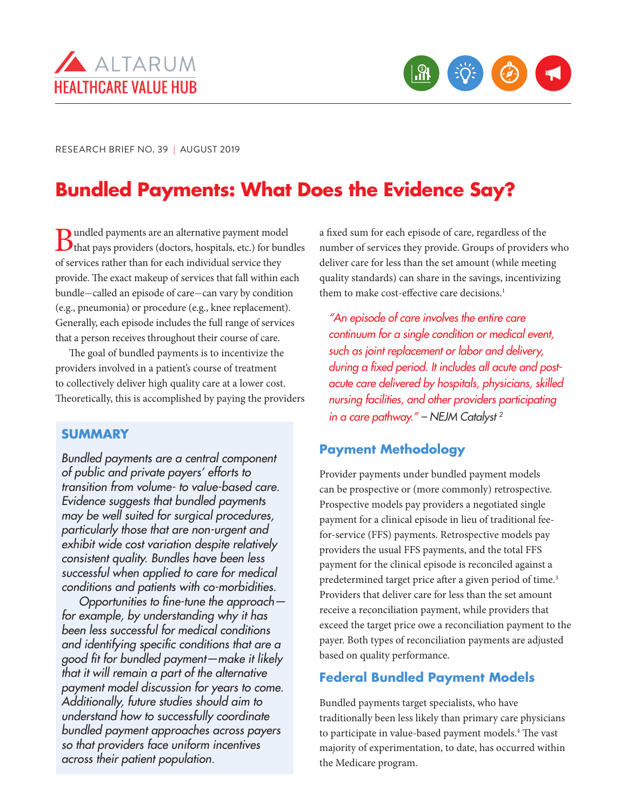



RESEARCH BRIEF NO. 39 | AUGUST 2019

# **Bundled Payments: What Does the Evidence Say?**

**B**undled payments are an alternative payment model<br>that pays providers (doctors, hospitals, etc.) for bundles of services rather than for each individual service they provide. The exact makeup of services that fall within each bundle—called an episode of care—can vary by condition (e.g., pneumonia) or procedure (e.g., knee replacement). Generally, each episode includes the full range of services that a person receives throughout their course of care.

The goal of bundled payments is to incentivize the providers involved in a patient's course of treatment to collectively deliver high quality care at a lower cost. Theoretically, this is accomplished by paying the providers

# **SUMMARY**

*Bundled payments are a central component of public and private payers' efforts to transition from volume- to value-based care. Evidence suggests that bundled payments may be well suited for surgical procedures, particularly those that are non-urgent and exhibit wide cost variation despite relatively consistent quality. Bundles have been less successful when applied to care for medical conditions and patients with co-morbidities.* 

*Opportunities to fine-tune the approach for example, by understanding why it has been less successful for medical conditions and identifying specific conditions that are a good fit for bundled payment—make it likely that it will remain a part of the alternative payment model discussion for years to come. Additionally, future studies should aim to understand how to successfully coordinate bundled payment approaches across payers so that providers face uniform incentives across their patient population.* 

a fixed sum for each episode of care, regardless of the number of services they provide. Groups of providers who deliver care for less than the set amount (while meeting quality standards) can share in the savings, incentivizing them to make cost-effective care decisions.<sup>1</sup>

*"An episode of care involves the entire care continuum for a single condition or medical event, such as joint replacement or labor and delivery, during a fixed period. It includes all acute and postacute care delivered by hospitals, physicians, skilled nursing facilities, and other providers participating in a care pathway." – NEJM Catalyst 2*

# **Payment Methodology**

Provider payments under bundled payment models can be prospective or (more commonly) retrospective. Prospective models pay providers a negotiated single payment for a clinical episode in lieu of traditional feefor-service (FFS) payments. Retrospective models pay providers the usual FFS payments, and the total FFS payment for the clinical episode is reconciled against a predetermined target price after a given period of time.<sup>3</sup> Providers that deliver care for less than the set amount receive a reconciliation payment, while providers that exceed the target price owe a reconciliation payment to the payer. Both types of reconciliation payments are adjusted based on quality performance.

# **Federal Bundled Payment Models**

Bundled payments target specialists, who have traditionally been less likely than primary care physicians to participate in value-based payment models.<sup>4</sup> The vast majority of experimentation, to date, has occurred within the Medicare program.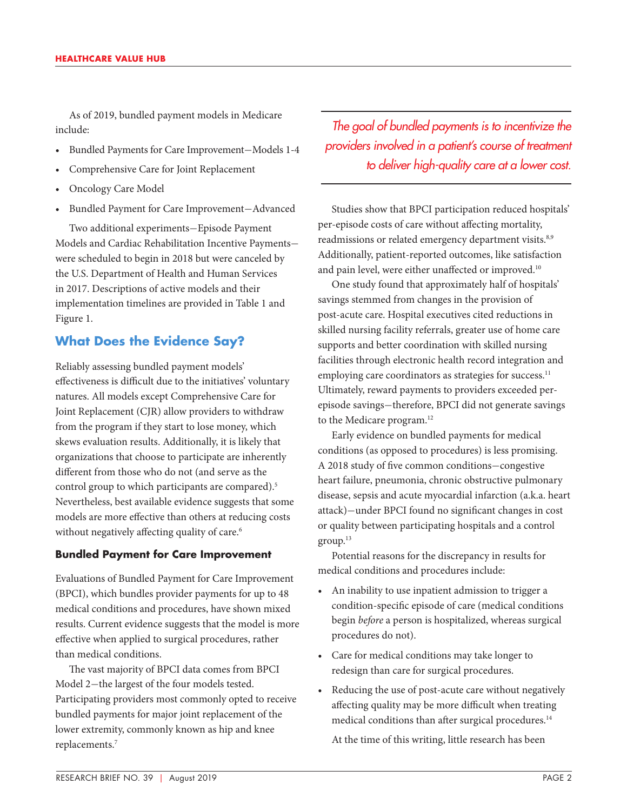As of 2019, bundled payment models in Medicare include:

- Bundled Payments for Care Improvement—Models 1-4
- Comprehensive Care for Joint Replacement
- Oncology Care Model
- Bundled Payment for Care Improvement—Advanced

Two additional experiments—Episode Payment Models and Cardiac Rehabilitation Incentive Payments were scheduled to begin in 2018 but were canceled by the U.S. Department of Health and Human Services in 2017. Descriptions of active models and their implementation timelines are provided in Table 1 and Figure 1.

# **What Does the Evidence Say?**

Reliably assessing bundled payment models' effectiveness is difficult due to the initiatives' voluntary natures. All models except Comprehensive Care for Joint Replacement (CJR) allow providers to withdraw from the program if they start to lose money, which skews evaluation results. Additionally, it is likely that organizations that choose to participate are inherently different from those who do not (and serve as the control group to which participants are compared).<sup>5</sup> Nevertheless, best available evidence suggests that some models are more effective than others at reducing costs without negatively affecting quality of care.<sup>6</sup>

#### **Bundled Payment for Care Improvement**

Evaluations of Bundled Payment for Care Improvement (BPCI), which bundles provider payments for up to 48 medical conditions and procedures, have shown mixed results. Current evidence suggests that the model is more effective when applied to surgical procedures, rather than medical conditions.

The vast majority of BPCI data comes from BPCI Model 2—the largest of the four models tested. Participating providers most commonly opted to receive bundled payments for major joint replacement of the lower extremity, commonly known as hip and knee replacements.7

*The goal of bundled payments is to incentivize the providers involved in a patient's course of treatment to deliver high-quality care at a lower cost.* 

Studies show that BPCI participation reduced hospitals' per-episode costs of care without affecting mortality, readmissions or related emergency department visits.<sup>8,9</sup> Additionally, patient-reported outcomes, like satisfaction and pain level, were either unaffected or improved.<sup>10</sup>

One study found that approximately half of hospitals' savings stemmed from changes in the provision of post-acute care. Hospital executives cited reductions in skilled nursing facility referrals, greater use of home care supports and better coordination with skilled nursing facilities through electronic health record integration and employing care coordinators as strategies for success.<sup>11</sup> Ultimately, reward payments to providers exceeded perepisode savings—therefore, BPCI did not generate savings to the Medicare program.12

Early evidence on bundled payments for medical conditions (as opposed to procedures) is less promising. A 2018 study of five common conditions—congestive heart failure, pneumonia, chronic obstructive pulmonary disease, sepsis and acute myocardial infarction (a.k.a. heart attack)—under BPCI found no significant changes in cost or quality between participating hospitals and a control group.13

Potential reasons for the discrepancy in results for medical conditions and procedures include:

- An inability to use inpatient admission to trigger a condition-specific episode of care (medical conditions begin *before* a person is hospitalized, whereas surgical procedures do not).
- Care for medical conditions may take longer to redesign than care for surgical procedures.
- Reducing the use of post-acute care without negatively affecting quality may be more difficult when treating medical conditions than after surgical procedures.<sup>14</sup>

At the time of this writing, little research has been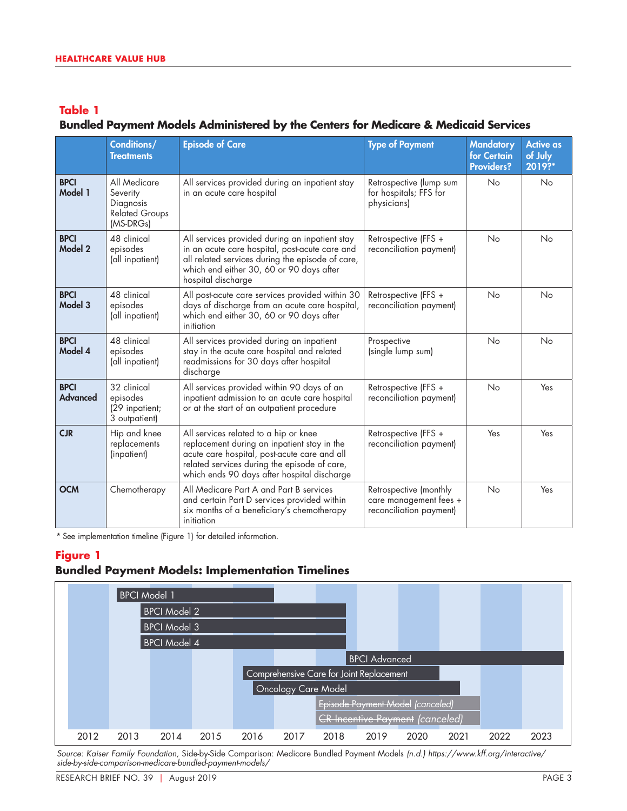# **Bundled Payment Models Administered by the Centers for Medicare & Medicaid Services**

|                                | Conditions/<br><b>Treatments</b>                                            | <b>Episode of Care</b>                                                                                                                                                                                                              | <b>Type of Payment</b>                                                      | <b>Mandatory</b><br>for Certain<br><b>Providers?</b> | <b>Active as</b><br>of July<br>2019?* |
|--------------------------------|-----------------------------------------------------------------------------|-------------------------------------------------------------------------------------------------------------------------------------------------------------------------------------------------------------------------------------|-----------------------------------------------------------------------------|------------------------------------------------------|---------------------------------------|
| <b>BPCI</b><br>Model 1         | All Medicare<br>Severity<br>Diagnosis<br><b>Related Groups</b><br>(MS-DRGs) | All services provided during an inpatient stay<br>in an acute care hospital                                                                                                                                                         | Retrospective (lump sum<br>for hospitals; FFS for<br>physicians)            | No                                                   | No                                    |
| <b>BPCI</b><br>Model 2         | 48 clinical<br>episodes<br>(all inpatient)                                  | All services provided during an inpatient stay<br>in an acute care hospital, post-acute care and<br>all related services during the episode of care,<br>which end either 30, 60 or 90 days after<br>hospital discharge              | Retrospective (FFS +<br>reconciliation payment)                             | <b>No</b>                                            | <b>No</b>                             |
| <b>BPCI</b><br>Model 3         | 48 clinical<br>episodes<br>(all inpatient)                                  | All post-acute care services provided within 30<br>days of discharge from an acute care hospital,<br>which end either 30, 60 or 90 days after<br>initiation                                                                         | Retrospective (FFS +<br>reconciliation payment)                             | <b>No</b>                                            | <b>No</b>                             |
| <b>BPCI</b><br>Model 4         | 48 clinical<br>episodes<br>(all inpatient)                                  | All services provided during an inpatient<br>stay in the acute care hospital and related<br>readmissions for 30 days after hospital<br>discharge                                                                                    | Prospective<br>(single lump sum)                                            | <b>No</b>                                            | No                                    |
| <b>BPCI</b><br><b>Advanced</b> | 32 clinical<br>episodes<br>(29 inpatient;<br>3 outpatient)                  | All services provided within 90 days of an<br>inpatient admission to an acute care hospital<br>or at the start of an outpatient procedure                                                                                           | Retrospective (FFS +<br>reconciliation payment)                             | <b>No</b>                                            | Yes                                   |
| CIR                            | Hip and knee<br>replacements<br>(inpatient)                                 | All services related to a hip or knee<br>replacement during an inpatient stay in the<br>acute care hospital, post-acute care and all<br>related services during the episode of care,<br>which ends 90 days after hospital discharge | Retrospective (FFS +<br>reconciliation payment)                             | Yes                                                  | Yes                                   |
| <b>OCM</b>                     | Chemotherapy                                                                | All Medicare Part A and Part B services<br>and certain Part D services provided within<br>six months of a beneficiary's chemotherapy<br>initiation                                                                                  | Retrospective (monthly<br>care management fees +<br>reconciliation payment) | <b>No</b>                                            | Yes                                   |

*\** See implementation timeline (Figure 1) for detailed information.

### **Figure 1**

# **Bundled Payment Models: Implementation Timelines**



*Source: Kaiser Family Foundation,* Side-by-Side Comparison: Medicare Bundled Payment Models *(n.d.) https://www.kff.org/interactive/ side-by-side-comparison-medicare-bundled-payment-models/*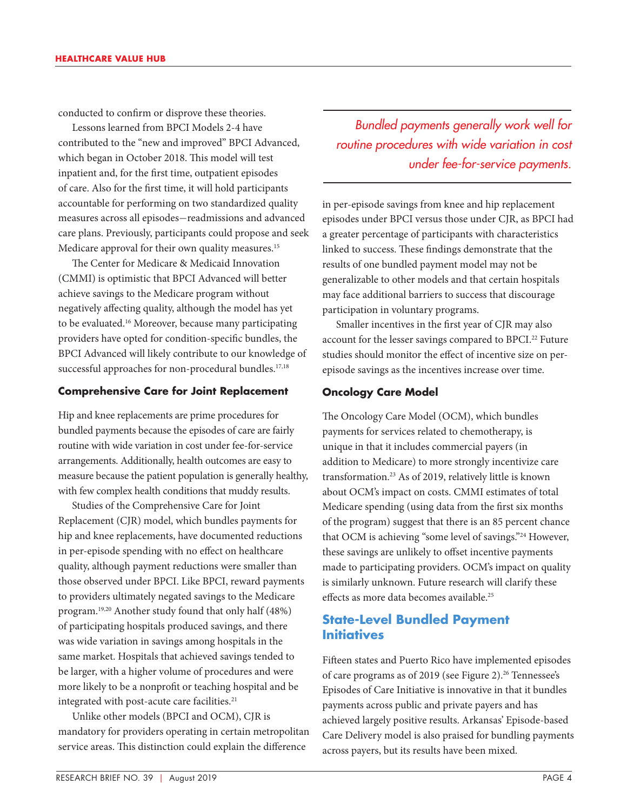conducted to confirm or disprove these theories.

Lessons learned from BPCI Models 2-4 have contributed to the "new and improved" BPCI Advanced, which began in October 2018. This model will test inpatient and, for the first time, outpatient episodes of care. Also for the first time, it will hold participants accountable for performing on two standardized quality measures across all episodes—readmissions and advanced care plans. Previously, participants could propose and seek Medicare approval for their own quality measures.<sup>15</sup>

The Center for Medicare & Medicaid Innovation (CMMI) is optimistic that BPCI Advanced will better achieve savings to the Medicare program without negatively affecting quality, although the model has yet to be evaluated.16 Moreover, because many participating providers have opted for condition-specific bundles, the BPCI Advanced will likely contribute to our knowledge of successful approaches for non-procedural bundles.<sup>17,18</sup>

#### **Comprehensive Care for Joint Replacement**

Hip and knee replacements are prime procedures for bundled payments because the episodes of care are fairly routine with wide variation in cost under fee-for-service arrangements. Additionally, health outcomes are easy to measure because the patient population is generally healthy, with few complex health conditions that muddy results.

Studies of the Comprehensive Care for Joint Replacement (CJR) model, which bundles payments for hip and knee replacements, have documented reductions in per-episode spending with no effect on healthcare quality, although payment reductions were smaller than those observed under BPCI. Like BPCI, reward payments to providers ultimately negated savings to the Medicare program.19,20 Another study found that only half (48%) of participating hospitals produced savings, and there was wide variation in savings among hospitals in the same market. Hospitals that achieved savings tended to be larger, with a higher volume of procedures and were more likely to be a nonprofit or teaching hospital and be integrated with post-acute care facilities.<sup>21</sup>

Unlike other models (BPCI and OCM), CJR is mandatory for providers operating in certain metropolitan service areas. This distinction could explain the difference

*Bundled payments generally work well for routine procedures with wide variation in cost under fee-for-service payments.*

in per-episode savings from knee and hip replacement episodes under BPCI versus those under CJR, as BPCI had a greater percentage of participants with characteristics linked to success. These findings demonstrate that the results of one bundled payment model may not be generalizable to other models and that certain hospitals may face additional barriers to success that discourage participation in voluntary programs.

Smaller incentives in the first year of CJR may also account for the lesser savings compared to BPCI.<sup>22</sup> Future studies should monitor the effect of incentive size on perepisode savings as the incentives increase over time.

#### **Oncology Care Model**

The Oncology Care Model (OCM), which bundles payments for services related to chemotherapy, is unique in that it includes commercial payers (in addition to Medicare) to more strongly incentivize care transformation.23 As of 2019, relatively little is known about OCM's impact on costs. CMMI estimates of total Medicare spending (using data from the first six months of the program) suggest that there is an 85 percent chance that OCM is achieving "some level of savings."24 However, these savings are unlikely to offset incentive payments made to participating providers. OCM's impact on quality is similarly unknown. Future research will clarify these effects as more data becomes available.25

# **State-Level Bundled Payment Initiatives**

Fifteen states and Puerto Rico have implemented episodes of care programs as of 2019 (see Figure 2).<sup>26</sup> Tennessee's Episodes of Care Initiative is innovative in that it bundles payments across public and private payers and has achieved largely positive results. Arkansas' Episode-based Care Delivery model is also praised for bundling payments across payers, but its results have been mixed.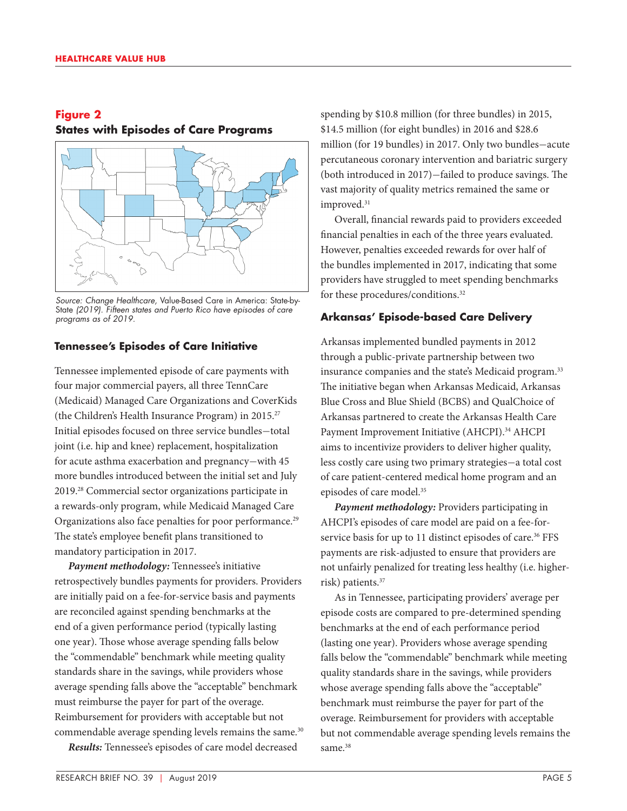# **Figure 2 States with Episodes of Care Programs**



*Source: Change Healthcare,* Value-Based Care in America: State-by-State *(2019). Fifteen states and Puerto Rico have episodes of care programs as of 2019.*

#### **Tennessee's Episodes of Care Initiative**

Tennessee implemented episode of care payments with four major commercial payers, all three TennCare (Medicaid) Managed Care Organizations and CoverKids (the Children's Health Insurance Program) in 2015.27 Initial episodes focused on three service bundles—total joint (i.e. hip and knee) replacement, hospitalization for acute asthma exacerbation and pregnancy—with 45 more bundles introduced between the initial set and July 2019.28 Commercial sector organizations participate in a rewards-only program, while Medicaid Managed Care Organizations also face penalties for poor performance.<sup>29</sup> The state's employee benefit plans transitioned to mandatory participation in 2017.

*Payment methodology:* Tennessee's initiative retrospectively bundles payments for providers. Providers are initially paid on a fee-for-service basis and payments are reconciled against spending benchmarks at the end of a given performance period (typically lasting one year). Those whose average spending falls below the "commendable" benchmark while meeting quality standards share in the savings, while providers whose average spending falls above the "acceptable" benchmark must reimburse the payer for part of the overage. Reimbursement for providers with acceptable but not commendable average spending levels remains the same.<sup>30</sup>

*Results:* Tennessee's episodes of care model decreased

spending by \$10.8 million (for three bundles) in 2015, \$14.5 million (for eight bundles) in 2016 and \$28.6 million (for 19 bundles) in 2017. Only two bundles—acute percutaneous coronary intervention and bariatric surgery (both introduced in 2017)—failed to produce savings. The vast majority of quality metrics remained the same or improved.<sup>31</sup>

Overall, financial rewards paid to providers exceeded financial penalties in each of the three years evaluated. However, penalties exceeded rewards for over half of the bundles implemented in 2017, indicating that some providers have struggled to meet spending benchmarks for these procedures/conditions.32

#### **Arkansas' Episode-based Care Delivery**

Arkansas implemented bundled payments in 2012 through a public-private partnership between two insurance companies and the state's Medicaid program.<sup>33</sup> The initiative began when Arkansas Medicaid, Arkansas Blue Cross and Blue Shield (BCBS) and QualChoice of Arkansas partnered to create the Arkansas Health Care Payment Improvement Initiative (AHCPI).<sup>34</sup> AHCPI aims to incentivize providers to deliver higher quality, less costly care using two primary strategies—a total cost of care patient-centered medical home program and an episodes of care model.<sup>35</sup>

*Payment methodology:* Providers participating in AHCPI's episodes of care model are paid on a fee-forservice basis for up to 11 distinct episodes of care.<sup>36</sup> FFS payments are risk-adjusted to ensure that providers are not unfairly penalized for treating less healthy (i.e. higherrisk) patients.37

As in Tennessee, participating providers' average per episode costs are compared to pre-determined spending benchmarks at the end of each performance period (lasting one year). Providers whose average spending falls below the "commendable" benchmark while meeting quality standards share in the savings, while providers whose average spending falls above the "acceptable" benchmark must reimburse the payer for part of the overage. Reimbursement for providers with acceptable but not commendable average spending levels remains the same.<sup>38</sup>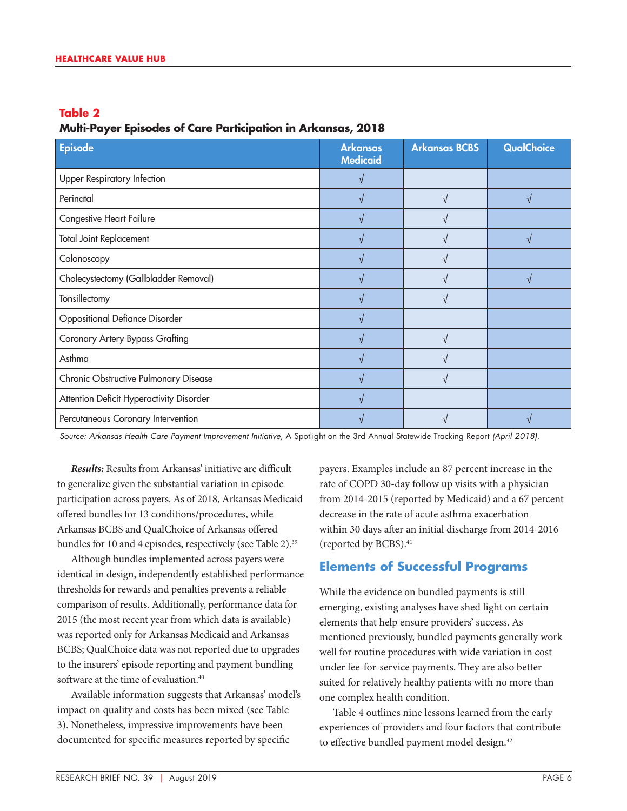### **Multi-Payer Episodes of Care Participation in Arkansas, 2018**

| <b>Episode</b>                           | <b>Arkansas</b><br><b>Medicaid</b> | <b>Arkansas BCBS</b> | <b>QualChoice</b> |
|------------------------------------------|------------------------------------|----------------------|-------------------|
| <b>Upper Respiratory Infection</b>       |                                    |                      |                   |
| Perinatal                                |                                    |                      |                   |
| Congestive Heart Failure                 |                                    |                      |                   |
| <b>Total Joint Replacement</b>           |                                    |                      |                   |
| Colonoscopy                              |                                    |                      |                   |
| Cholecystectomy (Gallbladder Removal)    |                                    |                      |                   |
| Tonsillectomy                            |                                    |                      |                   |
| <b>Oppositional Defiance Disorder</b>    |                                    |                      |                   |
| Coronary Artery Bypass Grafting          |                                    |                      |                   |
| Asthma                                   |                                    |                      |                   |
| Chronic Obstructive Pulmonary Disease    |                                    |                      |                   |
| Attention Deficit Hyperactivity Disorder |                                    |                      |                   |
| Percutaneous Coronary Intervention       |                                    |                      |                   |

*Source: Arkansas Health Care Payment Improvement Initiative,* A Spotlight on the 3rd Annual Statewide Tracking Report *(April 2018).*

*Results:* Results from Arkansas' initiative are difficult to generalize given the substantial variation in episode participation across payers. As of 2018, Arkansas Medicaid offered bundles for 13 conditions/procedures, while Arkansas BCBS and QualChoice of Arkansas offered bundles for 10 and 4 episodes, respectively (see Table 2).<sup>39</sup>

Although bundles implemented across payers were identical in design, independently established performance thresholds for rewards and penalties prevents a reliable comparison of results. Additionally, performance data for 2015 (the most recent year from which data is available) was reported only for Arkansas Medicaid and Arkansas BCBS; QualChoice data was not reported due to upgrades to the insurers' episode reporting and payment bundling software at the time of evaluation.<sup>40</sup>

Available information suggests that Arkansas' model's impact on quality and costs has been mixed (see Table 3). Nonetheless, impressive improvements have been documented for specific measures reported by specific

payers. Examples include an 87 percent increase in the rate of COPD 30-day follow up visits with a physician from 2014-2015 (reported by Medicaid) and a 67 percent decrease in the rate of acute asthma exacerbation within 30 days after an initial discharge from 2014-2016 (reported by BCBS).<sup>41</sup>

# **Elements of Successful Programs**

While the evidence on bundled payments is still emerging, existing analyses have shed light on certain elements that help ensure providers' success. As mentioned previously, bundled payments generally work well for routine procedures with wide variation in cost under fee-for-service payments. They are also better suited for relatively healthy patients with no more than one complex health condition.

Table 4 outlines nine lessons learned from the early experiences of providers and four factors that contribute to effective bundled payment model design.<sup>42</sup>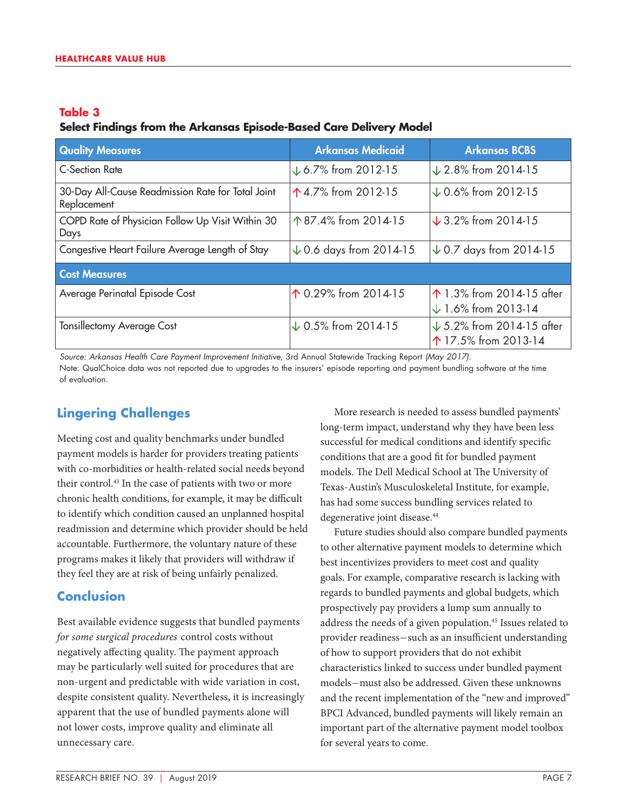## **Select Findings from the Arkansas Episode-Based Care Delivery Model**

| <b>Quality Measures</b>                                          | <b>Arkansas Medicaid</b>           | <b>Arkansas BCBS</b>                                                  |  |  |  |
|------------------------------------------------------------------|------------------------------------|-----------------------------------------------------------------------|--|--|--|
| <b>C-Section Rate</b>                                            | $\downarrow$ 6.7% from 2012-15     | $\downarrow$ 2.8% from 2014-15                                        |  |  |  |
| 30-Day All-Cause Readmission Rate for Total Joint<br>Replacement | ↑4.7% from 2012-15                 | $\downarrow$ 0.6% from 2012-15                                        |  |  |  |
| COPD Rate of Physician Follow Up Visit Within 30<br>Days         | 个87.4% from 2014-15                | $\sqrt{3.2\%}$ from 2014-15                                           |  |  |  |
| Congestive Heart Failure Average Length of Stay                  | $\downarrow$ 0.6 days from 2014-15 | $\downarrow$ 0.7 days from 2014-15                                    |  |  |  |
| <b>Cost Measures</b>                                             |                                    |                                                                       |  |  |  |
| Average Perinatal Episode Cost                                   | ↑ 0.29% from 2014-15               | ↑ 1.3% from 2014-15 after<br>$\downarrow$ 1.6% from 2013-14           |  |  |  |
| <b>Tonsillectomy Average Cost</b>                                | $\downarrow$ 0.5% from 2014-15     | $\downarrow$ 5.2% from 2014-15 after<br>$\uparrow$ 17.5% from 2013-14 |  |  |  |

*Source: Arkansas Health Care Payment Improvement Initiative,* 3rd Annual Statewide Tracking Report *(May 2017).* Note: QualChoice data was not reported due to upgrades to the insurers' episode reporting and payment bundling software at the time of evaluation.

# **Lingering Challenges**

Meeting cost and quality benchmarks under bundled payment models is harder for providers treating patients with co-morbidities or health-related social needs beyond their control.<sup>43</sup> In the case of patients with two or more chronic health conditions, for example, it may be difficult to identify which condition caused an unplanned hospital readmission and determine which provider should be held accountable. Furthermore, the voluntary nature of these programs makes it likely that providers will withdraw if they feel they are at risk of being unfairly penalized.

# **Conclusion**

Best available evidence suggests that bundled payments *for some surgical procedures* control costs without negatively affecting quality. The payment approach may be particularly well suited for procedures that are non-urgent and predictable with wide variation in cost, despite consistent quality. Nevertheless, it is increasingly apparent that the use of bundled payments alone will not lower costs, improve quality and eliminate all unnecessary care.

More research is needed to assess bundled payments' long-term impact, understand why they have been less successful for medical conditions and identify specific conditions that are a good fit for bundled payment models. The Dell Medical School at The University of Texas-Austin's Musculoskeletal Institute, for example, has had some success bundling services related to degenerative joint disease.<sup>44</sup>

Future studies should also compare bundled payments to other alternative payment models to determine which best incentivizes providers to meet cost and quality goals. For example, comparative research is lacking with regards to bundled payments and global budgets, which prospectively pay providers a lump sum annually to address the needs of a given population.45 Issues related to provider readiness—such as an insufficient understanding of how to support providers that do not exhibit characteristics linked to success under bundled payment models—must also be addressed. Given these unknowns and the recent implementation of the "new and improved" BPCI Advanced, bundled payments will likely remain an important part of the alternative payment model toolbox for several years to come.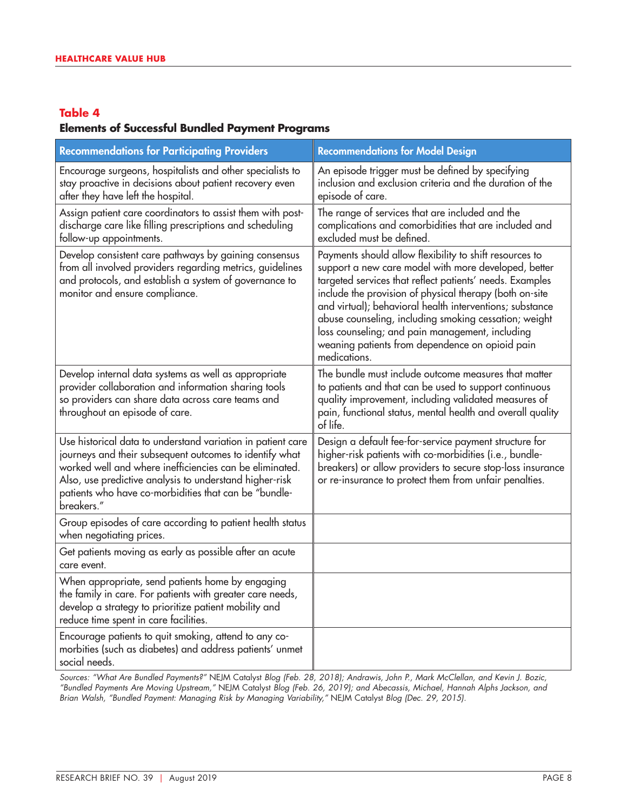#### **Elements of Successful Bundled Payment Programs**

| <b>Recommendations for Participating Providers</b>                                                                                                                                                                                                                                                                  | <b>Recommendations for Model Design</b>                                                                                                                                                                                                                                                                                                                                                                                                                                           |
|---------------------------------------------------------------------------------------------------------------------------------------------------------------------------------------------------------------------------------------------------------------------------------------------------------------------|-----------------------------------------------------------------------------------------------------------------------------------------------------------------------------------------------------------------------------------------------------------------------------------------------------------------------------------------------------------------------------------------------------------------------------------------------------------------------------------|
| Encourage surgeons, hospitalists and other specialists to<br>stay proactive in decisions about patient recovery even<br>after they have left the hospital.                                                                                                                                                          | An episode trigger must be defined by specifying<br>inclusion and exclusion criteria and the duration of the<br>episode of care.                                                                                                                                                                                                                                                                                                                                                  |
| Assign patient care coordinators to assist them with post-<br>discharge care like filling prescriptions and scheduling<br>follow-up appointments.                                                                                                                                                                   | The range of services that are included and the<br>complications and comorbidities that are included and<br>excluded must be defined.                                                                                                                                                                                                                                                                                                                                             |
| Develop consistent care pathways by gaining consensus<br>from all involved providers regarding metrics, guidelines<br>and protocols, and establish a system of governance to<br>monitor and ensure compliance.                                                                                                      | Payments should allow flexibility to shift resources to<br>support a new care model with more developed, better<br>targeted services that reflect patients' needs. Examples<br>include the provision of physical therapy (both on-site<br>and virtual); behavioral health interventions; substance<br>abuse counseling, including smoking cessation; weight<br>loss counseling; and pain management, including<br>weaning patients from dependence on opioid pain<br>medications. |
| Develop internal data systems as well as appropriate<br>provider collaboration and information sharing tools<br>so providers can share data across care teams and<br>throughout an episode of care.                                                                                                                 | The bundle must include outcome measures that matter<br>to patients and that can be used to support continuous<br>quality improvement, including validated measures of<br>pain, functional status, mental health and overall quality<br>of life.                                                                                                                                                                                                                                  |
| Use historical data to understand variation in patient care<br>journeys and their subsequent outcomes to identify what<br>worked well and where inefficiencies can be eliminated.<br>Also, use predictive analysis to understand higher-risk<br>patients who have co-morbidities that can be "bundle-<br>breakers." | Design a default fee-for-service payment structure for<br>higher-risk patients with co-morbidities (i.e., bundle-<br>breakers) or allow providers to secure stop-loss insurance<br>or re-insurance to protect them from unfair penalties.                                                                                                                                                                                                                                         |
| Group episodes of care according to patient health status<br>when negotiating prices.                                                                                                                                                                                                                               |                                                                                                                                                                                                                                                                                                                                                                                                                                                                                   |
| Get patients moving as early as possible after an acute<br>care event.                                                                                                                                                                                                                                              |                                                                                                                                                                                                                                                                                                                                                                                                                                                                                   |
| When appropriate, send patients home by engaging<br>the family in care. For patients with greater care needs,<br>develop a strategy to prioritize patient mobility and<br>reduce time spent in care facilities.                                                                                                     |                                                                                                                                                                                                                                                                                                                                                                                                                                                                                   |
| Encourage patients to quit smoking, attend to any co-<br>morbities (such as diabetes) and address patients' unmet<br>social needs.                                                                                                                                                                                  |                                                                                                                                                                                                                                                                                                                                                                                                                                                                                   |

*Sources: "What Are Bundled Payments?"* NEJM Catalyst *Blog (Feb. 28, 2018); Andrawis, John P., Mark McClellan, and Kevin J. Bozic, "Bundled Payments Are Moving Upstream,"* NEJM Catalyst *Blog (Feb. 26, 2019); and Abecassis, Michael, Hannah Alphs Jackson, and Brian Walsh, "Bundled Payment: Managing Risk by Managing Variability,"* NEJM Catalyst *Blog (Dec. 29, 2015).*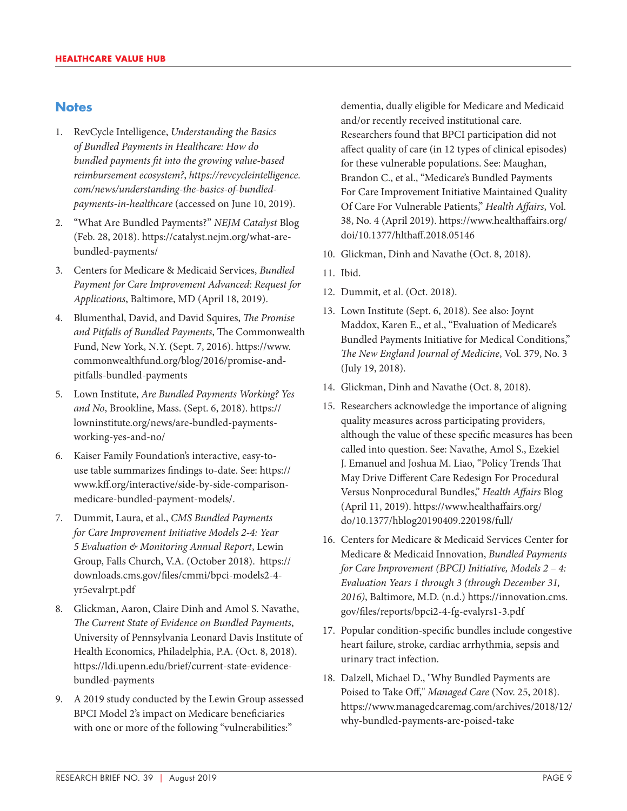# **Notes**

- 1. RevCycle Intelligence, *Understanding the Basics of Bundled Payments in Healthcare: How do bundled payments fit into the growing value-based reimbursement ecosystem?*, *[https://revcycleintelligence.](https://revcycleintelligence.com/news/understanding-the-basics-of-bundled-payments-in-healthcare) [com/news/understanding-the-basics-of-bundled](https://revcycleintelligence.com/news/understanding-the-basics-of-bundled-payments-in-healthcare)[payments-in-healthcare](https://revcycleintelligence.com/news/understanding-the-basics-of-bundled-payments-in-healthcare)* (accessed on June 10, 2019).
- 2. "What Are Bundled Payments?" *NEJM Catalyst* Blog (Feb. 28, 2018). [https://catalyst.nejm.org/what-are](https://catalyst.nejm.org/what-are-bundled-payments/)[bundled-payments/](https://catalyst.nejm.org/what-are-bundled-payments/)
- 3. Centers for Medicare & Medicaid Services, *Bundled Payment for Care Improvement Advanced: Request for Applications*, Baltimore, MD (April 18, 2019).
- 4. Blumenthal, David, and David Squires, *The Promise and Pitfalls of Bundled Payments*, The Commonwealth Fund, New York, N.Y. (Sept. 7, 2016). [https://www.](https://www.commonwealthfund.org/blog/2016/promise-and-pitfalls-bundled-payments) [commonwealthfund.org/blog/2016/promise-and](https://www.commonwealthfund.org/blog/2016/promise-and-pitfalls-bundled-payments)[pitfalls-bundled-payments](https://www.commonwealthfund.org/blog/2016/promise-and-pitfalls-bundled-payments)
- 5. Lown Institute, *Are Bundled Payments Working? Yes and No*, Brookline, Mass. (Sept. 6, 2018). [https://](https://lowninstitute.org/news/are-bundled-payments-working-yes-and-no/) [lowninstitute.org/news/are-bundled-payments](https://lowninstitute.org/news/are-bundled-payments-working-yes-and-no/)[working-yes-and-no/](https://lowninstitute.org/news/are-bundled-payments-working-yes-and-no/)
- 6. Kaiser Family Foundation's interactive, easy-touse table summarizes findings to-date. See: [https://](https://www.kff.org/interactive/side-by-side-comparison-medicare-bundled-payment-models/) [www.kff.org/interactive/side-by-side-comparison](https://www.kff.org/interactive/side-by-side-comparison-medicare-bundled-payment-models/)[medicare-bundled-payment-models/](https://www.kff.org/interactive/side-by-side-comparison-medicare-bundled-payment-models/).
- 7. Dummit, Laura, et al., *CMS Bundled Payments for Care Improvement Initiative Models 2-4: Year 5 Evaluation & Monitoring Annual Report*, Lewin Group, Falls Church, V.A. (October 2018). [https://](https://downloads.cms.gov/files/cmmi/bpci-models2-4-yr5evalrpt.pdf) [downloads.cms.gov/files/cmmi/bpci-models2-4](https://downloads.cms.gov/files/cmmi/bpci-models2-4-yr5evalrpt.pdf) [yr5evalrpt.pdf](https://downloads.cms.gov/files/cmmi/bpci-models2-4-yr5evalrpt.pdf)
- 8. Glickman, Aaron, Claire Dinh and Amol S. Navathe, *The Current State of Evidence on Bundled Payments*, University of Pennsylvania Leonard Davis Institute of Health Economics, Philadelphia, P.A. (Oct. 8, 2018). [https://ldi.upenn.edu/brief/current-state-evidence](https://ldi.upenn.edu/brief/current-state-evidence-bundled-payments)[bundled-payments](https://ldi.upenn.edu/brief/current-state-evidence-bundled-payments)
- 9. A 2019 study conducted by the Lewin Group assessed BPCI Model 2's impact on Medicare beneficiaries with one or more of the following "vulnerabilities:"

dementia, dually eligible for Medicare and Medicaid and/or recently received institutional care. Researchers found that BPCI participation did not affect quality of care (in 12 types of clinical episodes) for these vulnerable populations. See: Maughan, Brandon C., et al., "Medicare's Bundled Payments For Care Improvement Initiative Maintained Quality Of Care For Vulnerable Patients," *Health Affairs*, Vol. 38, No. 4 (April 2019). [https://www.healthaffairs.org/](https://www.healthaffairs.org/doi/10.1377/hlthaff.2018.05146) [doi/10.1377/hlthaff.2018.05146](https://www.healthaffairs.org/doi/10.1377/hlthaff.2018.05146)

- 10. Glickman, Dinh and Navathe (Oct. 8, 2018).
- 11. Ibid.
- 12. Dummit, et al. (Oct. 2018).
- 13. Lown Institute (Sept. 6, 2018). See also: Joynt Maddox, Karen E., et al., ["Evaluation of Medicare's](http://Evaluation of Medicare’s Bundled Payments Initiative for Medical Conditions)  [Bundled Payments Initiative for Medical Conditions,](http://Evaluation of Medicare’s Bundled Payments Initiative for Medical Conditions)" *The New England Journal of Medicine*, Vol. 379, No. 3 (July 19, 2018).
- 14. Glickman, Dinh and Navathe (Oct. 8, 2018).
- 15. Researchers acknowledge the importance of aligning quality measures across participating providers, although the value of these specific measures has been called into question. See: Navathe, Amol S., Ezekiel J. Emanuel and Joshua M. Liao, "Policy Trends That May Drive Different Care Redesign For Procedural Versus Nonprocedural Bundles," *Health Affairs* Blog (April 11, 2019). [https://www.healthaffairs.org/](https://www.healthaffairs.org/do/10.1377/hblog20190409.220198/full/) [do/10.1377/hblog20190409.220198/full/](https://www.healthaffairs.org/do/10.1377/hblog20190409.220198/full/)
- 16. Centers for Medicare & Medicaid Services Center for Medicare & Medicaid Innovation, *Bundled Payments for Care Improvement (BPCI) Initiative, Models 2 – 4: Evaluation Years 1 through 3 (through December 31, 2016)*, Baltimore, M.D. (n.d.) [https://innovation.cms.](https://innovation.cms.gov/files/reports/bpci2-4-fg-evalyrs1-3.pdf) [gov/files/reports/bpci2-4-fg-evalyrs1-3.pdf](https://innovation.cms.gov/files/reports/bpci2-4-fg-evalyrs1-3.pdf)
- 17. Popular condition-specific bundles include congestive heart failure, stroke, cardiac arrhythmia, sepsis and urinary tract infection.
- 18. Dalzell, Michael D., "Why Bundled Payments are Poised to Take Off," *Managed Care* (Nov. 25, 2018). [https://www.managedcaremag.com/archives/2018/12/](https://www.managedcaremag.com/archives/2018/12/why-bundled-payments-are-poised-take) [why-bundled-payments-are-poised-take](https://www.managedcaremag.com/archives/2018/12/why-bundled-payments-are-poised-take)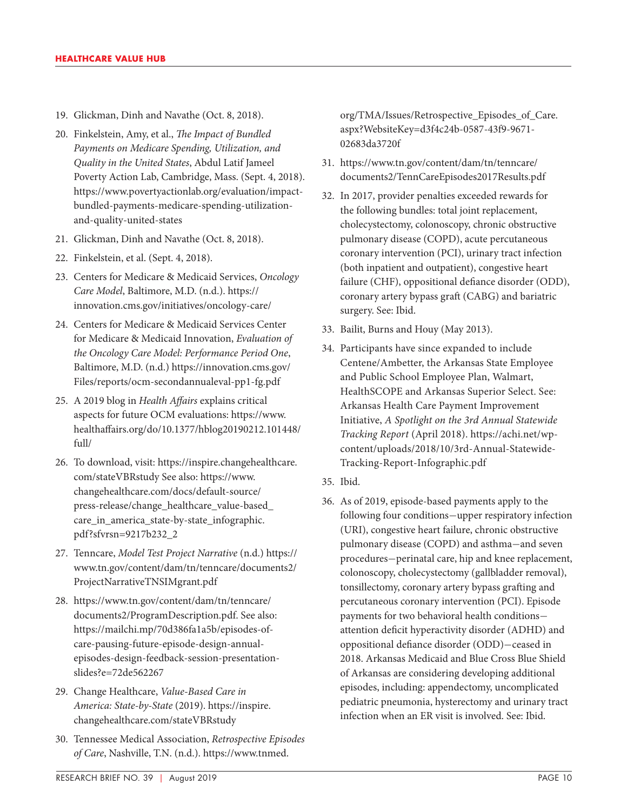- 19. Glickman, Dinh and Navathe (Oct. 8, 2018).
- 20. Finkelstein, Amy, et al., *The Impact of Bundled Payments on Medicare Spending, Utilization, and Quality in the United States*, Abdul Latif Jameel Poverty Action Lab, Cambridge, Mass. (Sept. 4, 2018). [https://www.povertyactionlab.org/evaluation/impact](https://www.povertyactionlab.org/evaluation/impact-bundled-payments-medicare-spending-utilization-and-quality-united-states)[bundled-payments-medicare-spending-utilization](https://www.povertyactionlab.org/evaluation/impact-bundled-payments-medicare-spending-utilization-and-quality-united-states)[and-quality-united-states](https://www.povertyactionlab.org/evaluation/impact-bundled-payments-medicare-spending-utilization-and-quality-united-states)
- 21. Glickman, Dinh and Navathe (Oct. 8, 2018).
- 22. Finkelstein, et al. (Sept. 4, 2018).
- 23. Centers for Medicare & Medicaid Services, *Oncology Care Model*, Baltimore, M.D. (n.d.). [https://](https://innovation.cms.gov/initiatives/oncology-care/) [innovation.cms.gov/initiatives/oncology-care/](https://innovation.cms.gov/initiatives/oncology-care/)
- 24. Centers for Medicare & Medicaid Services Center for Medicare & Medicaid Innovation, *Evaluation of the Oncology Care Model: Performance Period One*, Baltimore, M.D. (n.d.) [https://innovation.cms.gov/](https://innovation.cms.gov/Files/reports/ocm-secondannualeval-pp1-fg.pdf) [Files/reports/ocm-secondannualeval-pp1-fg.pdf](https://innovation.cms.gov/Files/reports/ocm-secondannualeval-pp1-fg.pdf)
- 25. A 2019 blog in *Health Affairs* explains critical aspects for future OCM evaluations: [https://www.](https://www.healthaffairs.org/do/10.1377/hblog20190212.101448/full/) [healthaffairs.org/do/10.1377/hblog20190212.101448/](https://www.healthaffairs.org/do/10.1377/hblog20190212.101448/full/) [full/](https://www.healthaffairs.org/do/10.1377/hblog20190212.101448/full/)
- 26. To download, visit: [https://inspire.changehealthcare.](https://inspire.changehealthcare.com/stateVBRstudy) [com/stateVBRstudy](https://inspire.changehealthcare.com/stateVBRstudy) See also: [https://www.](https://www.changehealthcare.com/docs/default-source/press-release/change_healthcare_value-based_care_in_america_state-by-state_infographic.pdf?sfvrsn=9217b232_2) [changehealthcare.com/docs/default-source/](https://www.changehealthcare.com/docs/default-source/press-release/change_healthcare_value-based_care_in_america_state-by-state_infographic.pdf?sfvrsn=9217b232_2) [press-release/change\\_healthcare\\_value-based\\_](https://www.changehealthcare.com/docs/default-source/press-release/change_healthcare_value-based_care_in_america_state-by-state_infographic.pdf?sfvrsn=9217b232_2) [care\\_in\\_america\\_state-by-state\\_infographic.](https://www.changehealthcare.com/docs/default-source/press-release/change_healthcare_value-based_care_in_america_state-by-state_infographic.pdf?sfvrsn=9217b232_2) [pdf?sfvrsn=9217b232\\_2](https://www.changehealthcare.com/docs/default-source/press-release/change_healthcare_value-based_care_in_america_state-by-state_infographic.pdf?sfvrsn=9217b232_2)
- 27. Tenncare, *Model Test Project Narrative* (n.d.) [https://](https://www.tn.gov/content/dam/tn/tenncare/documents2/ProjectNarrativeTNSIMgrant.pdf) [www.tn.gov/content/dam/tn/tenncare/documents2/](https://www.tn.gov/content/dam/tn/tenncare/documents2/ProjectNarrativeTNSIMgrant.pdf) [ProjectNarrativeTNSIMgrant.pdf](https://www.tn.gov/content/dam/tn/tenncare/documents2/ProjectNarrativeTNSIMgrant.pdf)
- 28. [https://www.tn.gov/content/dam/tn/tenncare/](https://www.tn.gov/content/dam/tn/tenncare/documents2/ProgramDescription.pdf) [documents2/ProgramDescription.pdf](https://www.tn.gov/content/dam/tn/tenncare/documents2/ProgramDescription.pdf). See also: [https://mailchi.mp/70d386fa1a5b/episodes-of](https://mailchi.mp/70d386fa1a5b/episodes-of-care-pausing-future-episode-design-annual-episodes-design-feedback-session-presentation-slides?e=72de562267)[care-pausing-future-episode-design-annual](https://mailchi.mp/70d386fa1a5b/episodes-of-care-pausing-future-episode-design-annual-episodes-design-feedback-session-presentation-slides?e=72de562267)[episodes-design-feedback-session-presentation](https://mailchi.mp/70d386fa1a5b/episodes-of-care-pausing-future-episode-design-annual-episodes-design-feedback-session-presentation-slides?e=72de562267)[slides?e=72de562267](https://mailchi.mp/70d386fa1a5b/episodes-of-care-pausing-future-episode-design-annual-episodes-design-feedback-session-presentation-slides?e=72de562267)
- 29. Change Healthcare, *Value-Based Care in America: State-by-State* (2019). [https://inspire.](https://inspire.changehealthcare.com/stateVBRstudy) [changehealthcare.com/stateVBRstudy](https://inspire.changehealthcare.com/stateVBRstudy)
- 30. Tennessee Medical Association, *Retrospective Episodes of Care*, Nashville, T.N. (n.d.). [https://www.tnmed.](https://www.tnmed.org/TMA/Issues/Retrospective_Episodes_of_Care.aspx?WebsiteKey=d3f4c24b-0587-43f9-9671-02683da3720f)

[org/TMA/Issues/Retrospective\\_Episodes\\_of\\_Care.](https://www.tnmed.org/TMA/Issues/Retrospective_Episodes_of_Care.aspx?WebsiteKey=d3f4c24b-0587-43f9-9671-02683da3720f) [aspx?WebsiteKey=d3f4c24b-0587-43f9-9671-](https://www.tnmed.org/TMA/Issues/Retrospective_Episodes_of_Care.aspx?WebsiteKey=d3f4c24b-0587-43f9-9671-02683da3720f) [02683da3720f](https://www.tnmed.org/TMA/Issues/Retrospective_Episodes_of_Care.aspx?WebsiteKey=d3f4c24b-0587-43f9-9671-02683da3720f)

- 31. [https://www.tn.gov/content/dam/tn/tenncare/](https://www.tn.gov/content/dam/tn/tenncare/documents2/TennCareEpisodes2017Results.pdf) [documents2/TennCareEpisodes2017Results.pdf](https://www.tn.gov/content/dam/tn/tenncare/documents2/TennCareEpisodes2017Results.pdf)
- 32. In 2017, provider penalties exceeded rewards for the following bundles: total joint replacement, cholecystectomy, colonoscopy, chronic obstructive pulmonary disease (COPD), acute percutaneous coronary intervention (PCI), urinary tract infection (both inpatient and outpatient), congestive heart failure (CHF), oppositional defiance disorder (ODD), coronary artery bypass graft (CABG) and bariatric surgery. See: Ibid.
- 33. Bailit, Burns and Houy (May 2013).
- 34. Participants have since expanded to include Centene/Ambetter, the Arkansas State Employee and Public School Employee Plan, Walmart, HealthSCOPE and Arkansas Superior Select. See: Arkansas Health Care Payment Improvement Initiative, *A Spotlight on the 3rd Annual Statewide Tracking Report* (April 2018). [https://achi.net/wp](https://achi.net/wp-content/uploads/2018/10/3rd-Annual-Statewide-Tracking-Report-Infographic.pdf)[content/uploads/2018/10/3rd-Annual-Statewide-](https://achi.net/wp-content/uploads/2018/10/3rd-Annual-Statewide-Tracking-Report-Infographic.pdf)[Tracking-Report-Infographic.pdf](https://achi.net/wp-content/uploads/2018/10/3rd-Annual-Statewide-Tracking-Report-Infographic.pdf)
- 35. Ibid.
- 36. As of 2019, episode-based payments apply to the following four conditions—upper respiratory infection (URI), congestive heart failure, chronic obstructive pulmonary disease (COPD) and asthma—and seven procedures—perinatal care, hip and knee replacement, colonoscopy, cholecystectomy (gallbladder removal), tonsillectomy, coronary artery bypass grafting and percutaneous coronary intervention (PCI). Episode payments for two behavioral health conditions attention deficit hyperactivity disorder (ADHD) and oppositional defiance disorder (ODD)—ceased in 2018. Arkansas Medicaid and Blue Cross Blue Shield of Arkansas are considering developing additional episodes, including: appendectomy, uncomplicated pediatric pneumonia, hysterectomy and urinary tract infection when an ER visit is involved. See: Ibid.